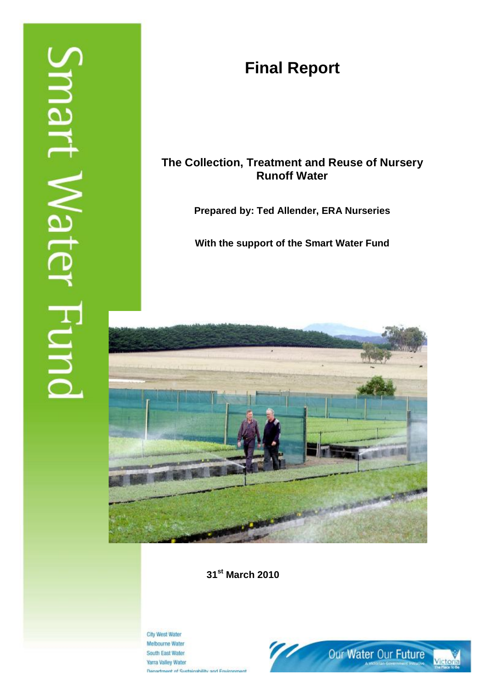# **Final Report**

# **The Collection, Treatment and Reuse of Nursery Runoff Water**

**Prepared by: Ted Allender, ERA Nurseries** 

**With the support of the Smart Water Fund** 



**31st March 2010** 

City West Water Melbourne Water South East Water **Yarra Valley Water Denartment of Sustainability and Environs** 

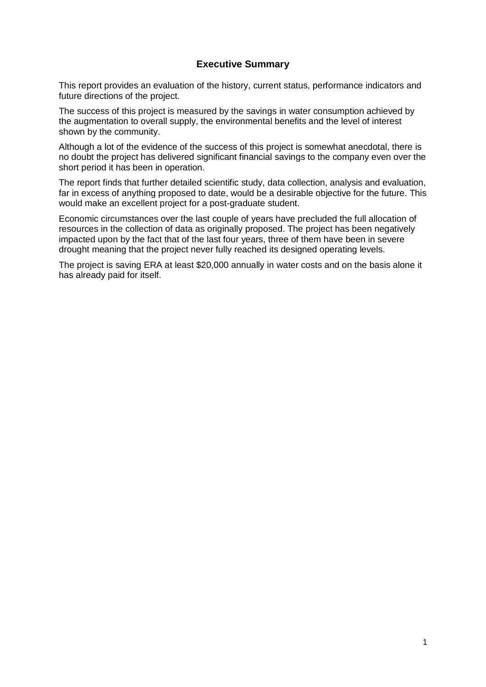# **Executive Summary**

This report provides an evaluation of the history, current status, performance indicators and future directions of the project.

The success of this project is measured by the savings in water consumption achieved by the augmentation to overall supply, the environmental benefits and the level of interest shown by the community.

Although a lot of the evidence of the success of this project is somewhat anecdotal, there is no doubt the project has delivered significant financial savings to the company even over the short period it has been in operation.

The report finds that further detailed scientific study, data collection, analysis and evaluation, far in excess of anything proposed to date, would be a desirable objective for the future. This would make an excellent project for a post-graduate student.

Economic circumstances over the last couple of years have precluded the full allocation of resources in the collection of data as originally proposed. The project has been negatively impacted upon by the fact that of the last four years, three of them have been in severe drought meaning that the project never fully reached its designed operating levels.

The project is saving ERA at least \$20,000 annually in water costs and on the basis alone it has already paid for itself.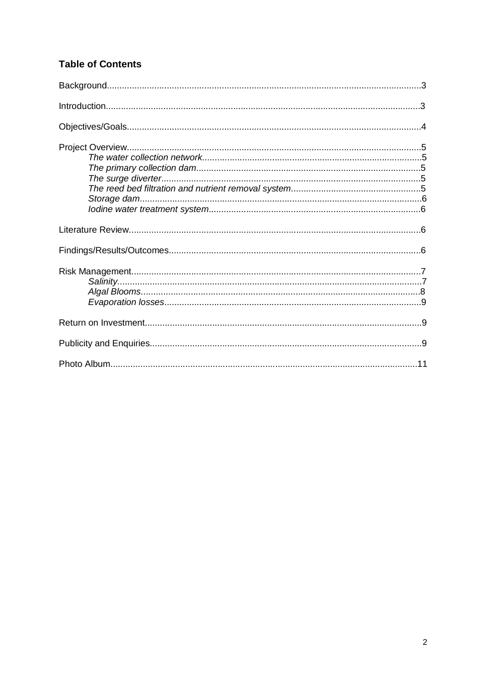# **Table of Contents**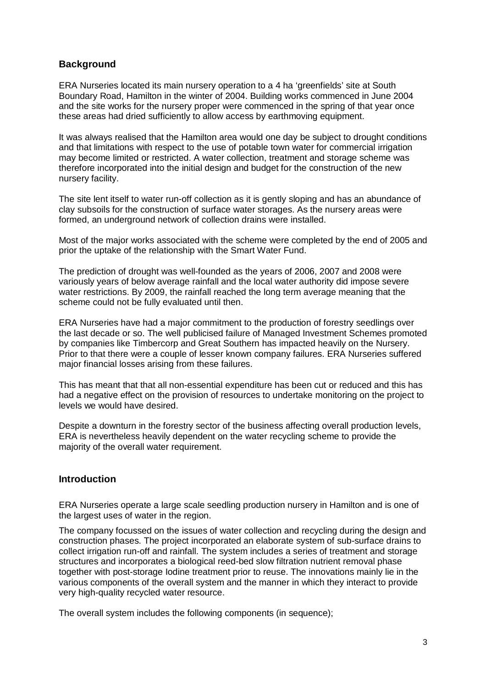# **Background**

ERA Nurseries located its main nursery operation to a 4 ha 'greenfields' site at South Boundary Road, Hamilton in the winter of 2004. Building works commenced in June 2004 and the site works for the nursery proper were commenced in the spring of that year once these areas had dried sufficiently to allow access by earthmoving equipment.

It was always realised that the Hamilton area would one day be subject to drought conditions and that limitations with respect to the use of potable town water for commercial irrigation may become limited or restricted. A water collection, treatment and storage scheme was therefore incorporated into the initial design and budget for the construction of the new nursery facility.

The site lent itself to water run-off collection as it is gently sloping and has an abundance of clay subsoils for the construction of surface water storages. As the nursery areas were formed, an underground network of collection drains were installed.

Most of the major works associated with the scheme were completed by the end of 2005 and prior the uptake of the relationship with the Smart Water Fund.

The prediction of drought was well-founded as the years of 2006, 2007 and 2008 were variously years of below average rainfall and the local water authority did impose severe water restrictions. By 2009, the rainfall reached the long term average meaning that the scheme could not be fully evaluated until then.

ERA Nurseries have had a major commitment to the production of forestry seedlings over the last decade or so. The well publicised failure of Managed Investment Schemes promoted by companies like Timbercorp and Great Southern has impacted heavily on the Nursery. Prior to that there were a couple of lesser known company failures. ERA Nurseries suffered major financial losses arising from these failures.

This has meant that that all non-essential expenditure has been cut or reduced and this has had a negative effect on the provision of resources to undertake monitoring on the project to levels we would have desired.

Despite a downturn in the forestry sector of the business affecting overall production levels, ERA is nevertheless heavily dependent on the water recycling scheme to provide the majority of the overall water requirement.

# **Introduction**

ERA Nurseries operate a large scale seedling production nursery in Hamilton and is one of the largest uses of water in the region.

The company focussed on the issues of water collection and recycling during the design and construction phases. The project incorporated an elaborate system of sub-surface drains to collect irrigation run-off and rainfall. The system includes a series of treatment and storage structures and incorporates a biological reed-bed slow filtration nutrient removal phase together with post-storage Iodine treatment prior to reuse. The innovations mainly lie in the various components of the overall system and the manner in which they interact to provide very high-quality recycled water resource.

The overall system includes the following components (in sequence);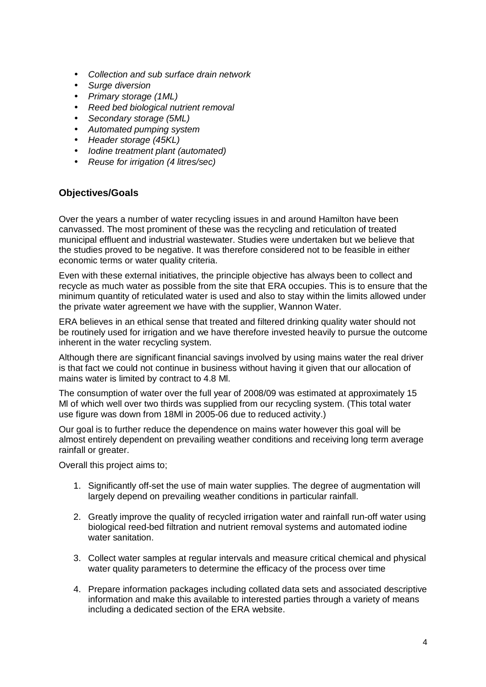- *Collection and sub surface drain network*
- *Surge diversion*
- *Primary storage (1ML)*
- *Reed bed biological nutrient removal*
- *Secondary storage (5ML)*
- *Automated pumping system*
- *Header storage (45KL)*
- *Iodine treatment plant (automated)*
- *Reuse for irrigation (4 litres/sec)*

# **Objectives/Goals**

Over the years a number of water recycling issues in and around Hamilton have been canvassed. The most prominent of these was the recycling and reticulation of treated municipal effluent and industrial wastewater. Studies were undertaken but we believe that the studies proved to be negative. It was therefore considered not to be feasible in either economic terms or water quality criteria.

Even with these external initiatives, the principle objective has always been to collect and recycle as much water as possible from the site that ERA occupies. This is to ensure that the minimum quantity of reticulated water is used and also to stay within the limits allowed under the private water agreement we have with the supplier, Wannon Water.

ERA believes in an ethical sense that treated and filtered drinking quality water should not be routinely used for irrigation and we have therefore invested heavily to pursue the outcome inherent in the water recycling system.

Although there are significant financial savings involved by using mains water the real driver is that fact we could not continue in business without having it given that our allocation of mains water is limited by contract to 4.8 Ml.

The consumption of water over the full year of 2008/09 was estimated at approximately 15 Ml of which well over two thirds was supplied from our recycling system. (This total water use figure was down from 18Ml in 2005-06 due to reduced activity.)

Our goal is to further reduce the dependence on mains water however this goal will be almost entirely dependent on prevailing weather conditions and receiving long term average rainfall or greater.

Overall this project aims to;

- 1. Significantly off-set the use of main water supplies. The degree of augmentation will largely depend on prevailing weather conditions in particular rainfall.
- 2. Greatly improve the quality of recycled irrigation water and rainfall run-off water using biological reed-bed filtration and nutrient removal systems and automated iodine water sanitation.
- 3. Collect water samples at regular intervals and measure critical chemical and physical water quality parameters to determine the efficacy of the process over time
- 4. Prepare information packages including collated data sets and associated descriptive information and make this available to interested parties through a variety of means including a dedicated section of the ERA website.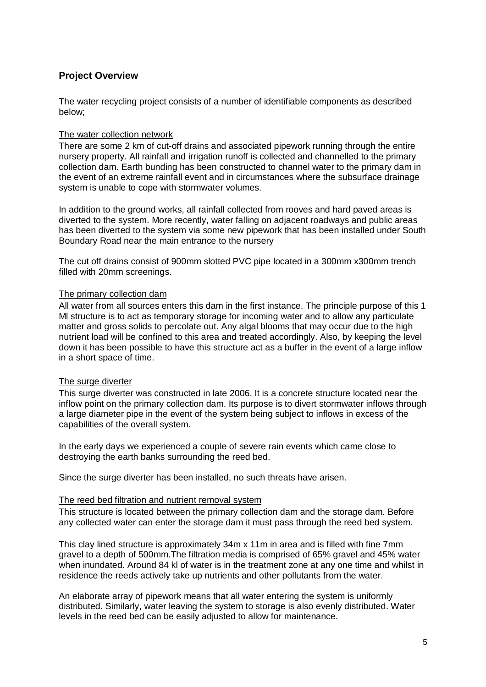# **Project Overview**

The water recycling project consists of a number of identifiable components as described below;

#### The water collection network

There are some 2 km of cut-off drains and associated pipework running through the entire nursery property. All rainfall and irrigation runoff is collected and channelled to the primary collection dam. Earth bunding has been constructed to channel water to the primary dam in the event of an extreme rainfall event and in circumstances where the subsurface drainage system is unable to cope with stormwater volumes.

In addition to the ground works, all rainfall collected from rooves and hard paved areas is diverted to the system. More recently, water falling on adjacent roadways and public areas has been diverted to the system via some new pipework that has been installed under South Boundary Road near the main entrance to the nursery

The cut off drains consist of 900mm slotted PVC pipe located in a 300mm x300mm trench filled with 20mm screenings.

#### The primary collection dam

All water from all sources enters this dam in the first instance. The principle purpose of this 1 Ml structure is to act as temporary storage for incoming water and to allow any particulate matter and gross solids to percolate out. Any algal blooms that may occur due to the high nutrient load will be confined to this area and treated accordingly. Also, by keeping the level down it has been possible to have this structure act as a buffer in the event of a large inflow in a short space of time.

#### The surge diverter

This surge diverter was constructed in late 2006. It is a concrete structure located near the inflow point on the primary collection dam. Its purpose is to divert stormwater inflows through a large diameter pipe in the event of the system being subject to inflows in excess of the capabilities of the overall system.

In the early days we experienced a couple of severe rain events which came close to destroying the earth banks surrounding the reed bed.

Since the surge diverter has been installed, no such threats have arisen.

#### The reed bed filtration and nutrient removal system

This structure is located between the primary collection dam and the storage dam. Before any collected water can enter the storage dam it must pass through the reed bed system.

This clay lined structure is approximately 34m x 11m in area and is filled with fine 7mm gravel to a depth of 500mm.The filtration media is comprised of 65% gravel and 45% water when inundated. Around 84 kl of water is in the treatment zone at any one time and whilst in residence the reeds actively take up nutrients and other pollutants from the water.

An elaborate array of pipework means that all water entering the system is uniformly distributed. Similarly, water leaving the system to storage is also evenly distributed. Water levels in the reed bed can be easily adjusted to allow for maintenance.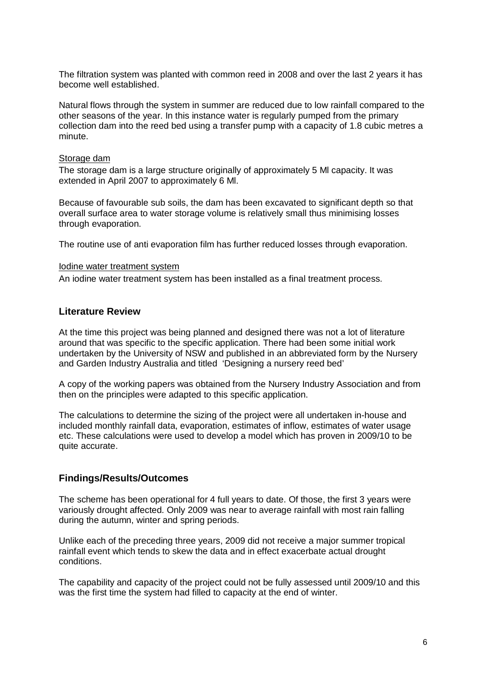The filtration system was planted with common reed in 2008 and over the last 2 years it has become well established.

Natural flows through the system in summer are reduced due to low rainfall compared to the other seasons of the year. In this instance water is regularly pumped from the primary collection dam into the reed bed using a transfer pump with a capacity of 1.8 cubic metres a minute.

#### Storage dam

The storage dam is a large structure originally of approximately 5 Ml capacity. It was extended in April 2007 to approximately 6 Ml.

Because of favourable sub soils, the dam has been excavated to significant depth so that overall surface area to water storage volume is relatively small thus minimising losses through evaporation.

The routine use of anti evaporation film has further reduced losses through evaporation.

#### Iodine water treatment system

An iodine water treatment system has been installed as a final treatment process.

#### **Literature Review**

At the time this project was being planned and designed there was not a lot of literature around that was specific to the specific application. There had been some initial work undertaken by the University of NSW and published in an abbreviated form by the Nursery and Garden Industry Australia and titled 'Designing a nursery reed bed'

A copy of the working papers was obtained from the Nursery Industry Association and from then on the principles were adapted to this specific application.

The calculations to determine the sizing of the project were all undertaken in-house and included monthly rainfall data, evaporation, estimates of inflow, estimates of water usage etc. These calculations were used to develop a model which has proven in 2009/10 to be quite accurate.

#### **Findings/Results/Outcomes**

The scheme has been operational for 4 full years to date. Of those, the first 3 years were variously drought affected. Only 2009 was near to average rainfall with most rain falling during the autumn, winter and spring periods.

Unlike each of the preceding three years, 2009 did not receive a major summer tropical rainfall event which tends to skew the data and in effect exacerbate actual drought conditions.

The capability and capacity of the project could not be fully assessed until 2009/10 and this was the first time the system had filled to capacity at the end of winter.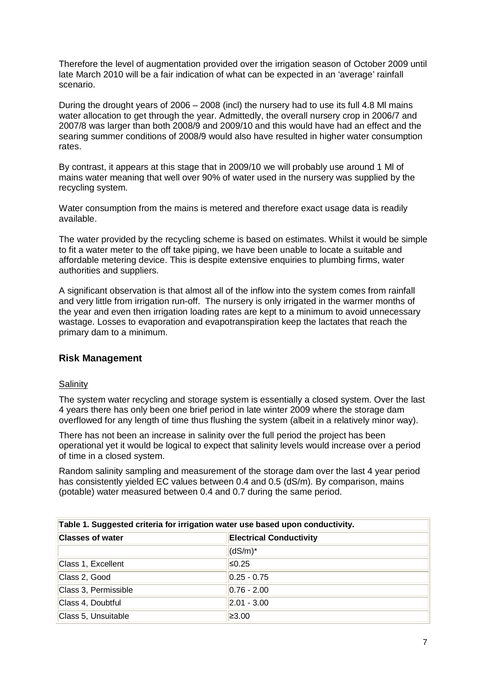Therefore the level of augmentation provided over the irrigation season of October 2009 until late March 2010 will be a fair indication of what can be expected in an 'average' rainfall scenario.

During the drought years of 2006 – 2008 (incl) the nursery had to use its full 4.8 Ml mains water allocation to get through the year. Admittedly, the overall nursery crop in 2006/7 and 2007/8 was larger than both 2008/9 and 2009/10 and this would have had an effect and the searing summer conditions of 2008/9 would also have resulted in higher water consumption rates.

By contrast, it appears at this stage that in 2009/10 we will probably use around 1 Ml of mains water meaning that well over 90% of water used in the nursery was supplied by the recycling system.

Water consumption from the mains is metered and therefore exact usage data is readily available.

The water provided by the recycling scheme is based on estimates. Whilst it would be simple to fit a water meter to the off take piping, we have been unable to locate a suitable and affordable metering device. This is despite extensive enquiries to plumbing firms, water authorities and suppliers.

A significant observation is that almost all of the inflow into the system comes from rainfall and very little from irrigation run-off. The nursery is only irrigated in the warmer months of the year and even then irrigation loading rates are kept to a minimum to avoid unnecessary wastage. Losses to evaporation and evapotranspiration keep the lactates that reach the primary dam to a minimum.

#### **Risk Management**

#### **Salinity**

The system water recycling and storage system is essentially a closed system. Over the last 4 years there has only been one brief period in late winter 2009 where the storage dam overflowed for any length of time thus flushing the system (albeit in a relatively minor way).

There has not been an increase in salinity over the full period the project has been operational yet it would be logical to expect that salinity levels would increase over a period of time in a closed system.

Random salinity sampling and measurement of the storage dam over the last 4 year period has consistently yielded EC values between 0.4 and 0.5 (dS/m). By comparison, mains (potable) water measured between 0.4 and 0.7 during the same period.

| Table 1. Suggested criteria for irrigation water use based upon conductivity. |                                |  |
|-------------------------------------------------------------------------------|--------------------------------|--|
| <b>Classes of water</b>                                                       | <b>Electrical Conductivity</b> |  |
|                                                                               | $(dS/m)^*$                     |  |
| Class 1, Excellent                                                            | $\leq 0.25$                    |  |
| Class 2, Good                                                                 | $ 0.25 - 0.75 $                |  |
| Class 3, Permissible                                                          | $ 0.76 - 2.00 $                |  |
| Class 4, Doubtful                                                             | $ 2.01 - 3.00 $                |  |
| Class 5, Unsuitable                                                           | ≥3.00                          |  |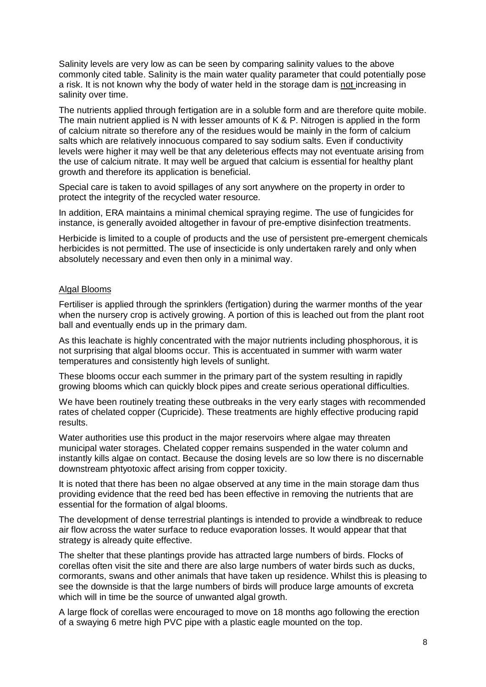Salinity levels are very low as can be seen by comparing salinity values to the above commonly cited table. Salinity is the main water quality parameter that could potentially pose a risk. It is not known why the body of water held in the storage dam is not increasing in salinity over time.

The nutrients applied through fertigation are in a soluble form and are therefore quite mobile. The main nutrient applied is N with lesser amounts of K & P. Nitrogen is applied in the form of calcium nitrate so therefore any of the residues would be mainly in the form of calcium salts which are relatively innocuous compared to say sodium salts. Even if conductivity levels were higher it may well be that any deleterious effects may not eventuate arising from the use of calcium nitrate. It may well be argued that calcium is essential for healthy plant growth and therefore its application is beneficial.

Special care is taken to avoid spillages of any sort anywhere on the property in order to protect the integrity of the recycled water resource.

In addition, ERA maintains a minimal chemical spraying regime. The use of fungicides for instance, is generally avoided altogether in favour of pre-emptive disinfection treatments.

Herbicide is limited to a couple of products and the use of persistent pre-emergent chemicals herbicides is not permitted. The use of insecticide is only undertaken rarely and only when absolutely necessary and even then only in a minimal way.

#### Algal Blooms

Fertiliser is applied through the sprinklers (fertigation) during the warmer months of the year when the nursery crop is actively growing. A portion of this is leached out from the plant root ball and eventually ends up in the primary dam.

As this leachate is highly concentrated with the major nutrients including phosphorous, it is not surprising that algal blooms occur. This is accentuated in summer with warm water temperatures and consistently high levels of sunlight.

These blooms occur each summer in the primary part of the system resulting in rapidly growing blooms which can quickly block pipes and create serious operational difficulties.

We have been routinely treating these outbreaks in the very early stages with recommended rates of chelated copper (Cupricide). These treatments are highly effective producing rapid results.

Water authorities use this product in the major reservoirs where algae may threaten municipal water storages. Chelated copper remains suspended in the water column and instantly kills algae on contact. Because the dosing levels are so low there is no discernable downstream phtyotoxic affect arising from copper toxicity.

It is noted that there has been no algae observed at any time in the main storage dam thus providing evidence that the reed bed has been effective in removing the nutrients that are essential for the formation of algal blooms.

The development of dense terrestrial plantings is intended to provide a windbreak to reduce air flow across the water surface to reduce evaporation losses. It would appear that that strategy is already quite effective.

The shelter that these plantings provide has attracted large numbers of birds. Flocks of corellas often visit the site and there are also large numbers of water birds such as ducks, cormorants, swans and other animals that have taken up residence. Whilst this is pleasing to see the downside is that the large numbers of birds will produce large amounts of excreta which will in time be the source of unwanted algal growth.

A large flock of corellas were encouraged to move on 18 months ago following the erection of a swaying 6 metre high PVC pipe with a plastic eagle mounted on the top.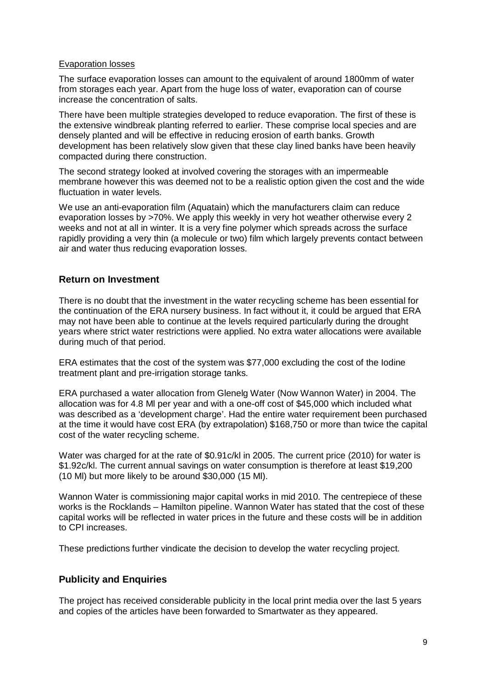#### Evaporation losses

The surface evaporation losses can amount to the equivalent of around 1800mm of water from storages each year. Apart from the huge loss of water, evaporation can of course increase the concentration of salts.

There have been multiple strategies developed to reduce evaporation. The first of these is the extensive windbreak planting referred to earlier. These comprise local species and are densely planted and will be effective in reducing erosion of earth banks. Growth development has been relatively slow given that these clay lined banks have been heavily compacted during there construction.

The second strategy looked at involved covering the storages with an impermeable membrane however this was deemed not to be a realistic option given the cost and the wide fluctuation in water levels.

We use an anti-evaporation film (Aquatain) which the manufacturers claim can reduce evaporation losses by >70%. We apply this weekly in very hot weather otherwise every 2 weeks and not at all in winter. It is a very fine polymer which spreads across the surface rapidly providing a very thin (a molecule or two) film which largely prevents contact between air and water thus reducing evaporation losses.

# **Return on Investment**

There is no doubt that the investment in the water recycling scheme has been essential for the continuation of the ERA nursery business. In fact without it, it could be argued that ERA may not have been able to continue at the levels required particularly during the drought years where strict water restrictions were applied. No extra water allocations were available during much of that period.

ERA estimates that the cost of the system was \$77,000 excluding the cost of the Iodine treatment plant and pre-irrigation storage tanks.

ERA purchased a water allocation from Glenelg Water (Now Wannon Water) in 2004. The allocation was for 4.8 Ml per year and with a one-off cost of \$45,000 which included what was described as a 'development charge'. Had the entire water requirement been purchased at the time it would have cost ERA (by extrapolation) \$168,750 or more than twice the capital cost of the water recycling scheme.

Water was charged for at the rate of \$0.91c/kl in 2005. The current price (2010) for water is \$1.92c/kl. The current annual savings on water consumption is therefore at least \$19,200 (10 Ml) but more likely to be around \$30,000 (15 Ml).

Wannon Water is commissioning major capital works in mid 2010. The centrepiece of these works is the Rocklands – Hamilton pipeline. Wannon Water has stated that the cost of these capital works will be reflected in water prices in the future and these costs will be in addition to CPI increases.

These predictions further vindicate the decision to develop the water recycling project.

# **Publicity and Enquiries**

The project has received considerable publicity in the local print media over the last 5 years and copies of the articles have been forwarded to Smartwater as they appeared.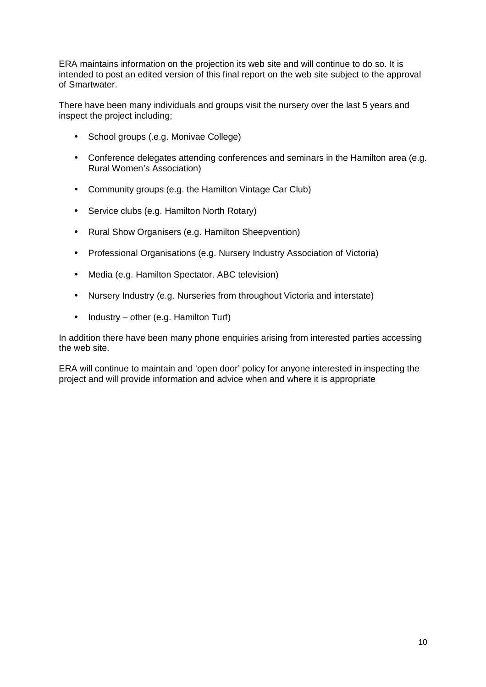ERA maintains information on the projection its web site and will continue to do so. It is intended to post an edited version of this final report on the web site subject to the approval of Smartwater.

There have been many individuals and groups visit the nursery over the last 5 years and inspect the project including;

- School groups (.e.g. Monivae College)
- Conference delegates attending conferences and seminars in the Hamilton area (e.g. Rural Women's Association)
- Community groups (e.g. the Hamilton Vintage Car Club)
- Service clubs (e.g. Hamilton North Rotary)
- Rural Show Organisers (e.g. Hamilton Sheepvention)
- Professional Organisations (e.g. Nursery Industry Association of Victoria)
- Media (e.g. Hamilton Spectator. ABC television)
- Nursery Industry (e.g. Nurseries from throughout Victoria and interstate)
- Industry other (e.g. Hamilton Turf)

In addition there have been many phone enquiries arising from interested parties accessing the web site.

ERA will continue to maintain and 'open door' policy for anyone interested in inspecting the project and will provide information and advice when and where it is appropriate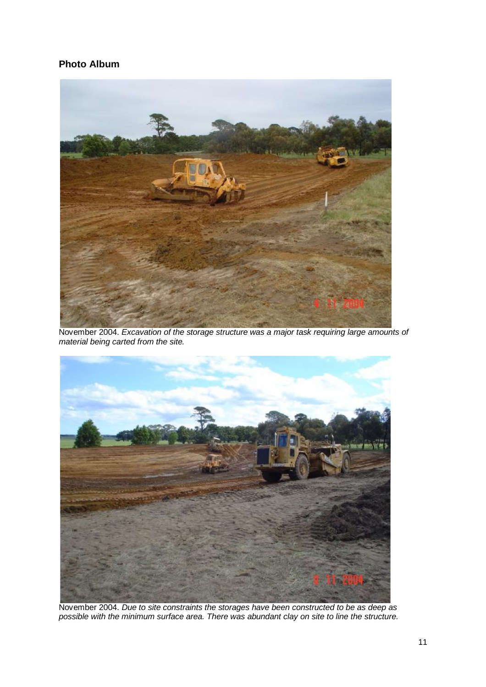# **Photo Album**



November 2004. *Excavation of the storage structure was a major task requiring large amounts of material being carted from the site.* 



November 2004. *Due to site constraints the storages have been constructed to be as deep as possible with the minimum surface area. There was abundant clay on site to line the structure.*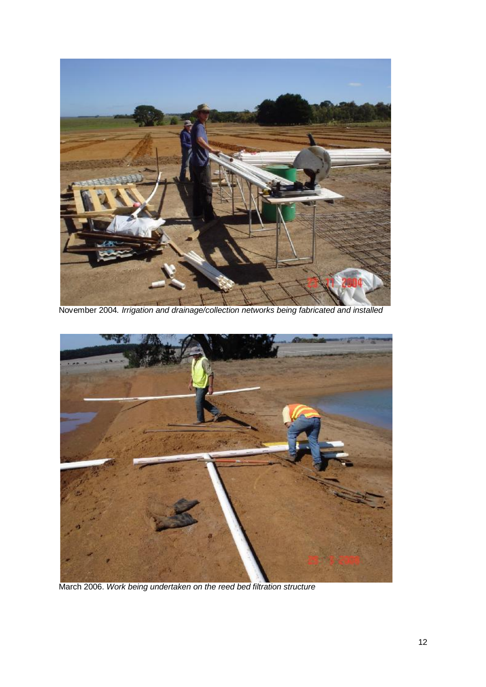

November 2004*. Irrigation and drainage/collection networks being fabricated and installed*



March 2006. *Work being undertaken on the reed bed filtration structure*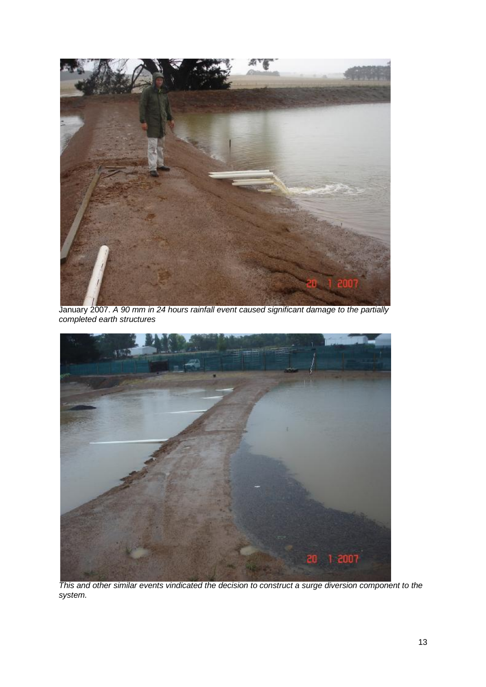

January 2007. *A 90 mm in 24 hours rainfall event caused significant damage to the partially completed earth structures* 



*This and other similar events vindicated the decision to construct a surge diversion component to the system.*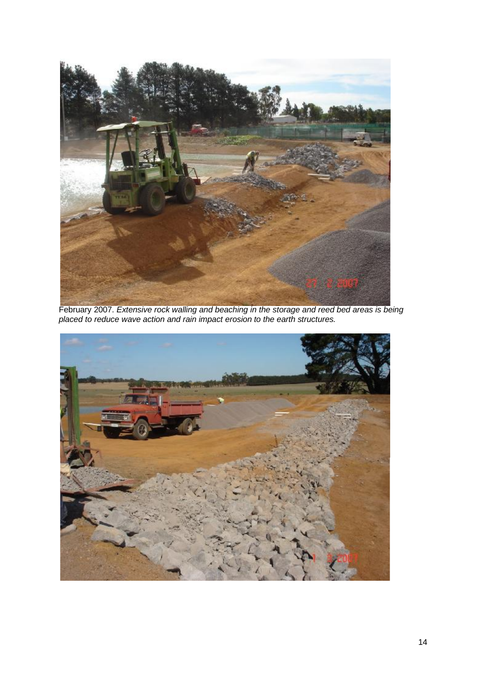

February 2007. *Extensive rock walling and beaching in the storage and reed bed areas is being placed to reduce wave action and rain impact erosion to the earth structures.* 

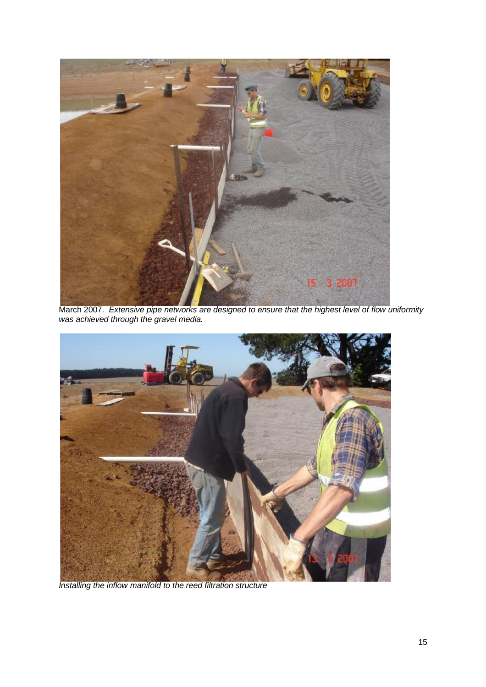

March 2007. *Extensive pipe networks are designed to ensure that the highest level of flow uniformity was achieved through the gravel media.* 



*Installing the inflow manifold to the reed filtration structure*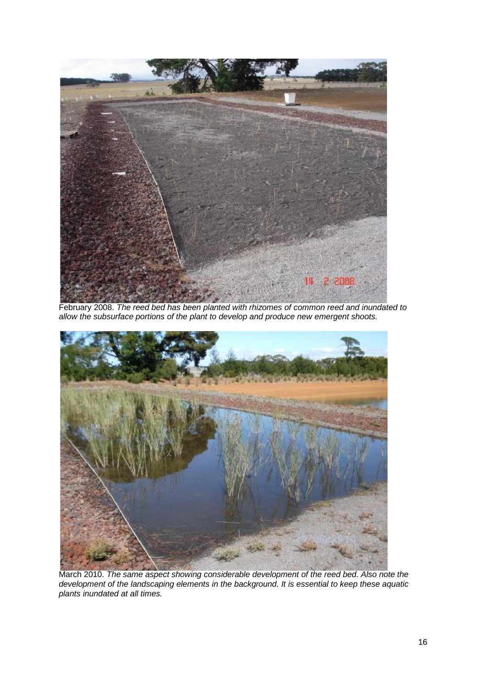

February 2008. *The reed bed has been planted with rhizomes of common reed and inundated to allow the subsurface portions of the plant to develop and produce new emergent shoots.* 



March 2010. *The same aspect showing considerable development of the reed bed. Also note the development of the landscaping elements in the background. It is essential to keep these aquatic plants inundated at all times.*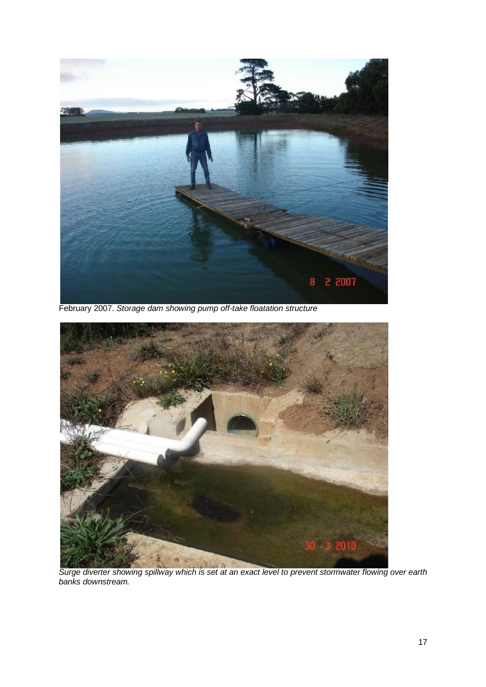

February 2007. *Storage dam showing pump off-take floatation structure* 



*Surge diverter showing spillway which is set at an exact level to prevent stormwater flowing over earth banks downstream.*